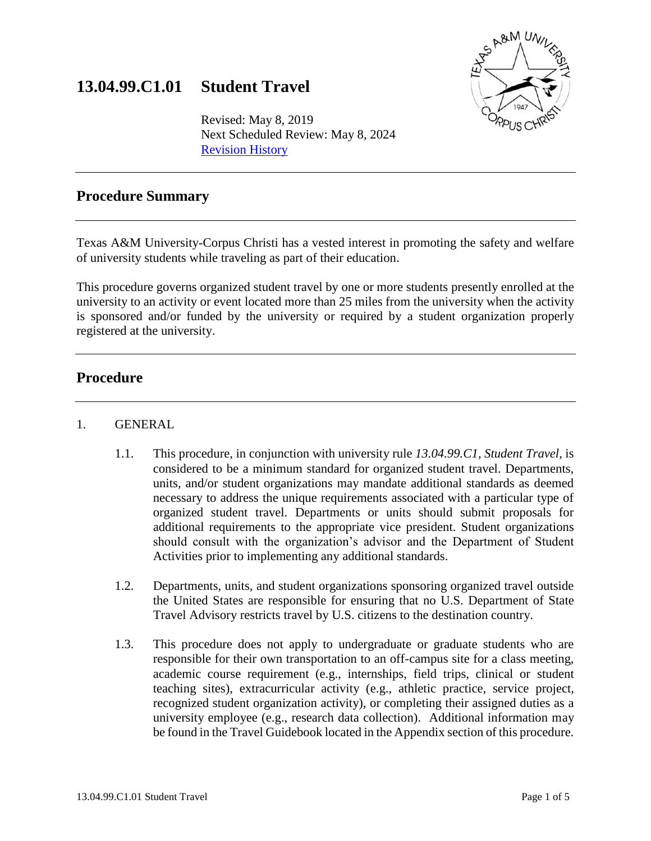# **13.04.99.C1.01 Student Travel**



Revised: May 8, 2019 Next Scheduled Review: May 8, 2024 [Revision History](http://academicaffairs.tamucc.edu/rules_procedures/assets/revisions/13.04.99.c1.01_revision_history.pdf)

# **Procedure Summary**

Texas A&M University-Corpus Christi has a vested interest in promoting the safety and welfare of university students while traveling as part of their education.

This procedure governs organized student travel by one or more students presently enrolled at the university to an activity or event located more than 25 miles from the university when the activity is sponsored and/or funded by the university or required by a student organization properly registered at the university.

## **Procedure**

#### 1. GENERAL

- 1.1. This procedure, in conjunction with university rule *13.04.99.C1, Student Travel*, is considered to be a minimum standard for organized student travel. Departments, units, and/or student organizations may mandate additional standards as deemed necessary to address the unique requirements associated with a particular type of organized student travel. Departments or units should submit proposals for additional requirements to the appropriate vice president. Student organizations should consult with the organization's advisor and the Department of Student Activities prior to implementing any additional standards.
- 1.2. Departments, units, and student organizations sponsoring organized travel outside the United States are responsible for ensuring that no U.S. Department of State Travel Advisory restricts travel by U.S. citizens to the destination country.
- 1.3. This procedure does not apply to undergraduate or graduate students who are responsible for their own transportation to an off-campus site for a class meeting, academic course requirement (e.g., internships, field trips, clinical or student teaching sites), extracurricular activity (e.g., athletic practice, service project, recognized student organization activity), or completing their assigned duties as a university employee (e.g., research data collection). Additional information may be found in the Travel Guidebook located in the Appendix section of this procedure.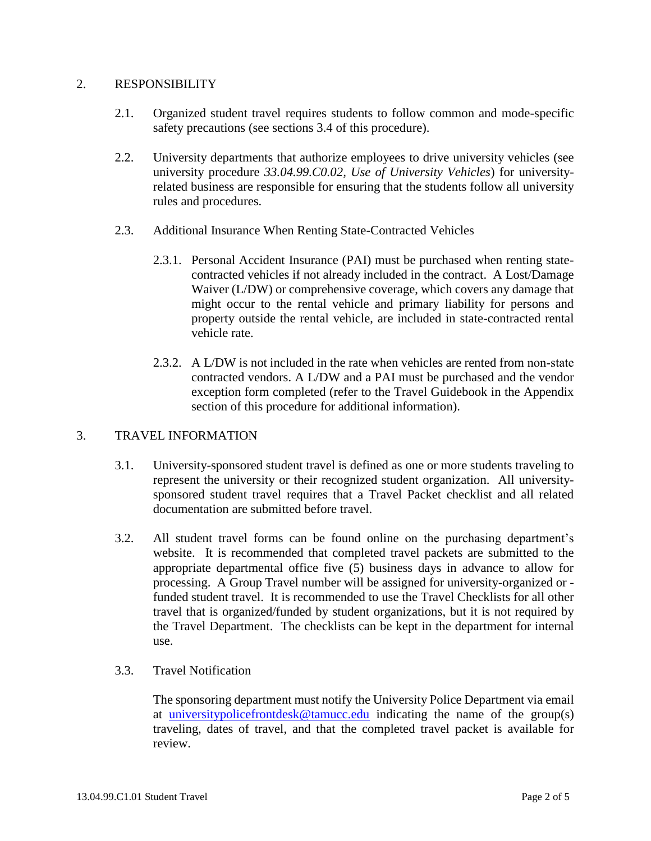#### 2. RESPONSIBILITY

- 2.1. Organized student travel requires students to follow common and mode-specific safety precautions (see sections 3.4 of this procedure).
- 2.2. University departments that authorize employees to drive university vehicles (see university procedure *33.04.99.C0.02, Use of University Vehicles*) for universityrelated business are responsible for ensuring that the students follow all university rules and procedures.
- 2.3. Additional Insurance When Renting State-Contracted Vehicles
	- 2.3.1. Personal Accident Insurance (PAI) must be purchased when renting statecontracted vehicles if not already included in the contract. A Lost/Damage Waiver (L/DW) or comprehensive coverage, which covers any damage that might occur to the rental vehicle and primary liability for persons and property outside the rental vehicle, are included in state-contracted rental vehicle rate.
	- 2.3.2. A L/DW is not included in the rate when vehicles are rented from non-state contracted vendors. A L/DW and a PAI must be purchased and the vendor exception form completed (refer to the Travel Guidebook in the Appendix section of this procedure for additional information).

#### 3. TRAVEL INFORMATION

- 3.1. University-sponsored student travel is defined as one or more students traveling to represent the university or their recognized student organization. All universitysponsored student travel requires that a Travel Packet checklist and all related documentation are submitted before travel.
- 3.2. All student travel forms can be found online on the purchasing department's website. It is recommended that completed travel packets are submitted to the appropriate departmental office five (5) business days in advance to allow for processing. A Group Travel number will be assigned for university-organized or funded student travel. It is recommended to use the Travel Checklists for all other travel that is organized/funded by student organizations, but it is not required by the Travel Department. The checklists can be kept in the department for internal use.
- 3.3. Travel Notification

The sponsoring department must notify the University Police Department via email at [universitypolicefrontdesk@tamucc.edu](mailto:universitypolicefrontdesk@tamucc.edu) indicating the name of the group(s) traveling, dates of travel, and that the completed travel packet is available for review.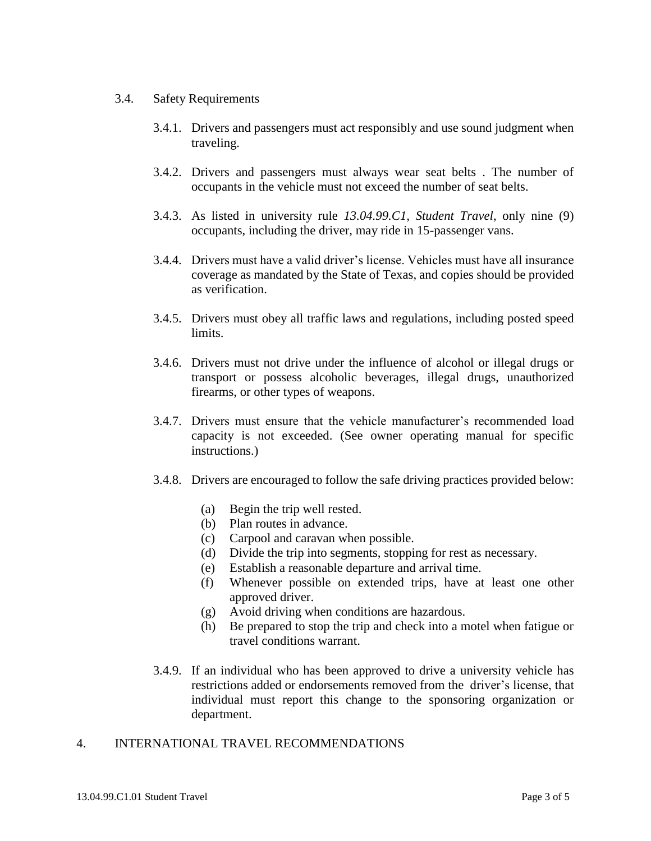#### 3.4. Safety Requirements

- 3.4.1. Drivers and passengers must act responsibly and use sound judgment when traveling.
- 3.4.2. Drivers and passengers must always wear seat belts . The number of occupants in the vehicle must not exceed the number of seat belts.
- 3.4.3. As listed in university rule *13.04.99.C1, Student Travel*, only nine (9) occupants, including the driver, may ride in 15-passenger vans.
- 3.4.4. Drivers must have a valid driver's license. Vehicles must have all insurance coverage as mandated by the State of Texas, and copies should be provided as verification.
- 3.4.5. Drivers must obey all traffic laws and regulations, including posted speed limits.
- 3.4.6. Drivers must not drive under the influence of alcohol or illegal drugs or transport or possess alcoholic beverages, illegal drugs, unauthorized firearms, or other types of weapons.
- 3.4.7. Drivers must ensure that the vehicle manufacturer's recommended load capacity is not exceeded. (See owner operating manual for specific instructions.)
- 3.4.8. Drivers are encouraged to follow the safe driving practices provided below:
	- (a) Begin the trip well rested.
	- (b) Plan routes in advance.
	- (c) Carpool and caravan when possible.
	- (d) Divide the trip into segments, stopping for rest as necessary.
	- (e) Establish a reasonable departure and arrival time.
	- (f) Whenever possible on extended trips, have at least one other approved driver.
	- (g) Avoid driving when conditions are hazardous.
	- (h) Be prepared to stop the trip and check into a motel when fatigue or travel conditions warrant.
- 3.4.9. If an individual who has been approved to drive a university vehicle has restrictions added or endorsements removed from the driver's license, that individual must report this change to the sponsoring organization or department.

#### 4. INTERNATIONAL TRAVEL RECOMMENDATIONS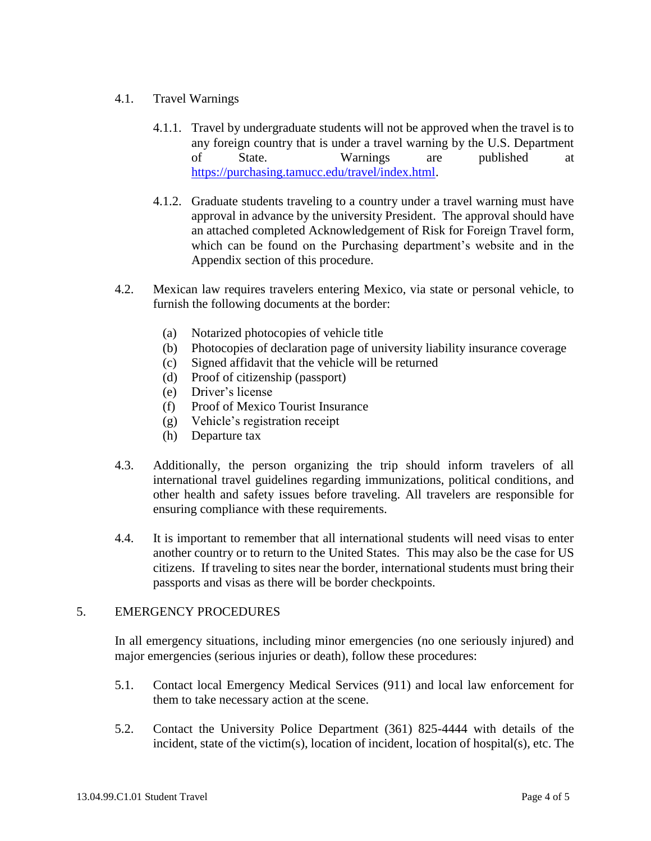### 4.1. Travel Warnings

- 4.1.1. Travel by undergraduate students will not be approved when the travel is to any foreign country that is under a travel warning by the U.S. Department of State. Warnings are published at https://purchasing.tamucc.edu/travel/index.html.
- 4.1.2. Graduate students traveling to a country under a travel warning must have approval in advance by the university President. The approval should have an attached completed Acknowledgement of Risk for Foreign Travel form, which can be found on the Purchasing department's website and in the Appendix section of this procedure.
- 4.2. Mexican law requires travelers entering Mexico, via state or personal vehicle, to furnish the following documents at the border:
	- (a) Notarized photocopies of vehicle title
	- (b) Photocopies of declaration page of university liability insurance coverage
	- (c) Signed affidavit that the vehicle will be returned
	- (d) Proof of citizenship (passport)
	- (e) Driver's license
	- (f) Proof of Mexico Tourist Insurance
	- (g) Vehicle's registration receipt
	- (h) Departure tax
- 4.3. Additionally, the person organizing the trip should inform travelers of all international travel guidelines regarding immunizations, political conditions, and other health and safety issues before traveling. All travelers are responsible for ensuring compliance with these requirements.
- 4.4. It is important to remember that all international students will need visas to enter another country or to return to the United States. This may also be the case for US citizens. If traveling to sites near the border, international students must bring their passports and visas as there will be border checkpoints.

#### 5. EMERGENCY PROCEDURES

In all emergency situations, including minor emergencies (no one seriously injured) and major emergencies (serious injuries or death), follow these procedures:

- 5.1. Contact local Emergency Medical Services (911) and local law enforcement for them to take necessary action at the scene.
- 5.2. Contact the University Police Department (361) 825-4444 with details of the incident, state of the victim(s), location of incident, location of hospital(s), etc. The